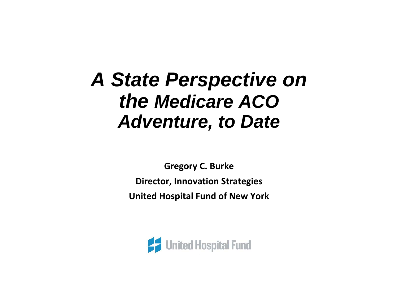# *A State Perspective on the Medicare ACO Adventure, to Date*

**Gregory C. Burke Director, Innovation Strategies United Hospital Fund of New York**

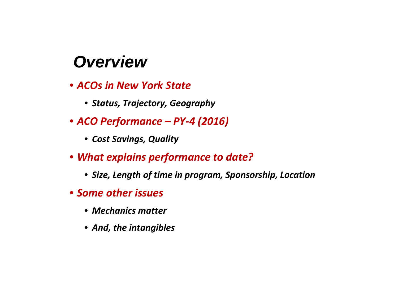# *Overview*

- *ACOs in New York State*
	- *Status, Trajectory, Geography*
- *ACO Performance – PY‐4 (2016)*
	- *Cost Savings, Quality*
- *What explains performance to date?*
	- *Size, Length of time in program, Sponsorship, Location*
- *Some other issues*
	- *Mechanics matter*
	- *And, the intangibles*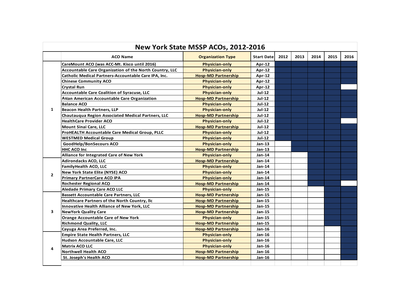| New York State MSSP ACOs, 2012-2016 |                                                         |                            |                   |      |      |      |      |      |  |  |
|-------------------------------------|---------------------------------------------------------|----------------------------|-------------------|------|------|------|------|------|--|--|
|                                     | <b>ACO Name</b>                                         | <b>Organization Type</b>   | <b>Start Date</b> | 2012 | 2013 | 2014 | 2015 | 2016 |  |  |
|                                     | CareMount ACO (was ACC-Mt. Kisco until 2016)            | <b>Physician-only</b>      | $Apr-12$          |      |      |      |      |      |  |  |
|                                     | Accountable Care Organization of the North Country, LLC | <b>Physician-only</b>      | $Apr-12$          |      |      |      |      |      |  |  |
|                                     | Catholic Medical Partners-Accountable Care IPA, Inc.    | <b>Hosp-MD Partnership</b> | Apr-12            |      |      |      |      |      |  |  |
|                                     | <b>Chinese Community ACO</b>                            | <b>Physician-only</b>      | $Apr-12$          |      |      |      |      |      |  |  |
|                                     | <b>Crystal Run</b>                                      | <b>Physician-only</b>      | Apr-12            |      |      |      |      |      |  |  |
|                                     | Accountable Care Coalition of Syracuse, LLC             | <b>Physician-only</b>      | $Jul-12$          |      |      |      |      |      |  |  |
|                                     | Asian American Accountable Care Organization            | <b>Hosp-MD Partnership</b> | $Jul-12$          |      |      |      |      |      |  |  |
|                                     | <b>Balance ACO</b>                                      | <b>Physician-only</b>      | $Jul-12$          |      |      |      |      |      |  |  |
| $\mathbf{1}$                        | <b>Beacon Health Partners, LLP</b>                      | <b>Physician-only</b>      | <b>Jul-12</b>     |      |      |      |      |      |  |  |
|                                     | Chautauqua Region Associated Medical Partners, LLC      | <b>Hosp-MD Partnership</b> | Jul-12            |      |      |      |      |      |  |  |
|                                     | <b>HealthCare Provider ACO</b>                          | <b>Physician-only</b>      | $Jul-12$          |      |      |      |      |      |  |  |
|                                     | <b>Mount Sinai Care, LLC</b>                            | <b>Hosp-MD Partnership</b> | <b>Jul-12</b>     |      |      |      |      |      |  |  |
|                                     | ProHEALTH Accountable Care Medical Group, PLLC          | <b>Physician-only</b>      | $Jul-12$          |      |      |      |      |      |  |  |
|                                     | <b>WESTMED Medical Group</b>                            | <b>Physician-only</b>      | <b>Jul-12</b>     |      |      |      |      |      |  |  |
|                                     | GoodHelp/BonSecours ACO                                 | <b>Physician-only</b>      | $Jan-13$          |      |      |      |      |      |  |  |
|                                     | <b>HHC ACO Inc</b>                                      | <b>Hosp-MD Partnership</b> | Jan-13            |      |      |      |      |      |  |  |
|                                     | Alliance for Integrated Care of New York                | <b>Physician-only</b>      | <b>Jan-14</b>     |      |      |      |      |      |  |  |
|                                     | <b>Adirondacks ACO, LLC</b>                             | <b>Hosp-MD Partnership</b> | Jan-14            |      |      |      |      |      |  |  |
|                                     | FamilyHealth ACO, LLC                                   | <b>Physician-only</b>      | Jan-14            |      |      |      |      |      |  |  |
| $\overline{2}$                      | New York State Elite (NYSE) ACO                         | <b>Physician-only</b>      | $Jan-14$          |      |      |      |      |      |  |  |
|                                     | <b>Primary PartnerCare ACO IPA</b>                      | <b>Physician-only</b>      | Jan-14            |      |      |      |      |      |  |  |
|                                     | <b>Rochester Regional ACO</b>                           | <b>Hosp-MD Partnership</b> | Jan-14            |      |      |      |      |      |  |  |
|                                     | <b>Aledade Primary Care ACO LLC</b>                     | <b>Physician-only</b>      | Jan-15            |      |      |      |      |      |  |  |
|                                     | <b>Bassett Accountable Care Partners, LLC</b>           | <b>Hosp-MD Partnership</b> | Jan-15            |      |      |      |      |      |  |  |
|                                     | Healthcare Partners of the North Country, Ilc           | <b>Hosp-MD Partnership</b> | $Jan-15$          |      |      |      |      |      |  |  |
|                                     | Innovative Health Alliance of New York, LLC             | <b>Hosp-MD Partnership</b> | $Jan-15$          |      |      |      |      |      |  |  |
| 3                                   | <b>NewYork Quality Care</b>                             | <b>Hosp-MD Partnership</b> | $Jan-15$          |      |      |      |      |      |  |  |
|                                     | <b>Orange Accountable Care of New York</b>              | <b>Physician-only</b>      | Jan-15            |      |      |      |      |      |  |  |
|                                     | <b>Richmond Quality, LLC</b>                            | <b>Hosp-MD Partnership</b> | Jan-15            |      |      |      |      |      |  |  |
|                                     | Cayuga Area Preferred, Inc.                             | <b>Hosp-MD Partnership</b> | $Jan-16$          |      |      |      |      |      |  |  |
|                                     | <b>Empire State Health Partners, LLC</b>                | <b>Physician-only</b>      | Jan-16            |      |      |      |      |      |  |  |
| 4                                   | Hudson Accountable Care, LLC                            | <b>Physician-only</b>      | $Jan-16$          |      |      |      |      |      |  |  |
|                                     | <b>Matrix ACO LLC</b>                                   | <b>Physician-only</b>      | Jan-16            |      |      |      |      |      |  |  |
|                                     | <b>Northwell Health ACO</b>                             | <b>Hosp-MD Partnership</b> | Jan-16            |      |      |      |      |      |  |  |
|                                     | St. Joseph's Health ACO                                 | <b>Hosp-MD Partnership</b> | Jan-16            |      |      |      |      |      |  |  |
|                                     |                                                         |                            |                   |      |      |      |      |      |  |  |

 $\sim$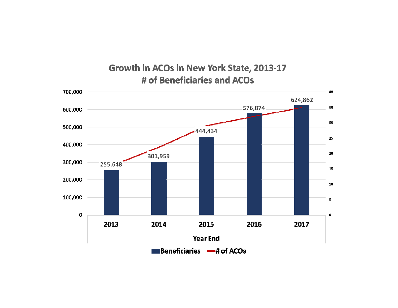#### Growth in ACOs in New York State, 2013-17 # of Beneficiaries and ACOs

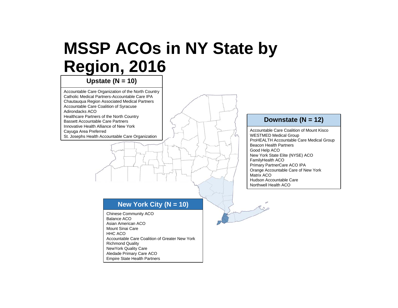### **MSSP ACOs in NY State by Region, 2016**

**Upstate (N = 10)**

Accountable Care Organization of the North Country Catholic Medical Partners-Accountable Care IPA Chautauqua Region Associated Medical Partners Accountable Care Coalition of Syracuse Adirondacks ACOHealthcare Partners of the North Country Bassett Accountable Care Partners Innovative Health Alliance of New York Cayuga Area Preferred

St. Josephs Health Accountable Care Organization

#### **New York City (N = 10)**

Chinese Community ACO Balance ACOAsian American ACO Mount Sinai Care HHC ACOAccountable Care Coalition of Greater New YorkRichmond Quality NewYork Quality Care Aledade Primary Care ACO Empire State Health Partners

#### **Downstate (N = 12)**

Accountable Care Coalition of Mount KiscoWESTMED Medical Group ProHEALTH Accountable Care Medical Group Beacon Health PartnersGood Help ACO New York State Elite (NYSE) ACO FamilyHealth ACO Primary PartnerCare ACO IPA Orange Accountable Care of New York Matrix ACOHudson Accountable CareNorthwell Health ACO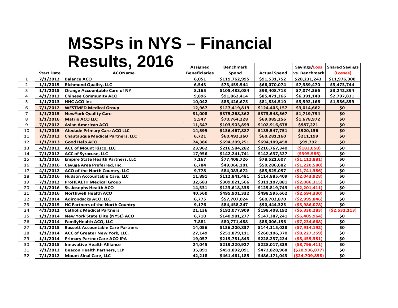#### **MSSPs in NYS – Financial Results, 2016**

|                |                   | <del>Resuils, Zu I 0</del>               | <b>Assigned</b>      | <b>Benchmark</b> |                     | Savings/Loss      | <b>Shared Savings</b> |
|----------------|-------------------|------------------------------------------|----------------------|------------------|---------------------|-------------------|-----------------------|
|                | <b>Start Date</b> | <b>ACOName</b>                           | <b>Beneficiaries</b> | Spend            | <b>Actual Spend</b> | vs. Benchmark     | (Losses)              |
| $\mathbf{1}$   | 7/1/2012          | <b>Balance ACO</b>                       | 6,051                | \$119,762,995    | \$91,531,752        | \$28,231,243      | \$11,976,300          |
| $\overline{2}$ | 1/1/2015          | <b>Richmond Quality, LLC</b>             | 6,543                | \$73,459,544     | \$66,070,074        | \$7,389,470       | \$3,473,744           |
| 3              | 1/1/2015          | Orange Accountable Care of NY            | 8,165                | \$105,483,084    | \$98,408,718        | \$7,074,366       | \$3,242,894           |
| 4              | 4/1/2012          | <b>Chinese Community ACO</b>             | 9,896                | \$91,862,414     | \$85,471,266        | \$6,391,148       | \$2,797,831           |
| 5              | 1/1/2013          | <b>HHC ACO Inc</b>                       | 10,042               | \$85,426,675     | \$81,834,510        | \$3,592,166       | \$1,586,859           |
| 6              | 7/1/2012          | <b>WESTMED Medical Group</b>             | 12,967               | \$127,419,819    | \$124,405,157       | \$3,014,662       | \$0                   |
| $\overline{7}$ | 1/1/2015          | <b>NewYork Quality Care</b>              | 31,008               | \$375,268,362    | \$373,548,567       | \$1,719,794       | \$0\$                 |
| 8              | 1/1/2016          | <b>Matrix ACO LLC</b>                    | 5,547                | \$70,764,228     | \$69,085,256        | \$1,678,972       | \$0                   |
| 9              | 7/1/2012          | <b>Asian American ACO</b>                | 11,547               | \$103,903,899    | \$102,916,678       | \$987,221         | \$0                   |
| 10             | 1/1/2015          | Aledade Primary Care ACO LLC             | 14,595               | \$136,467,887    | \$135,547,751       | \$920,136         | \$0                   |
| 11             | 7/1/2012          | <b>Chautaugua Medical Partners, LLC</b>  | 6,721                | \$60,492,360     | \$60,281,160        | \$211,199         | \$0                   |
| 12             | 1/1/2013          | <b>Good Help ACO</b>                     | 74,386               | \$694,209,251    | \$694,109,458       | \$99,792          | \$0\$                 |
| 13             | 4/1/2012          | <b>ACC of Mount Kisco, LLC</b>           | 23,962               | \$216,584,282    | \$216,767,340       | (5183,058)        | \$0                   |
| 14             | 7/1/2012          | <b>ACC of Syracuse, LLC</b>              | 17,956               | \$142,241,741    | \$142,637,327       | ( \$395, 586)     | \$0                   |
| 15             | 1/1/2016          | <b>Empire State Health Partners, LLC</b> | 7,167                | \$77,408,726     | \$78,521,607        | (51, 112, 881)    | \$0                   |
| 16             | 1/1/2016          | Cayuga Area Preferred, Inc.              | 6,784                | \$49,066,101     | \$50,286,682        | (\$1,220,580)     | \$0                   |
| 17             | 4/1/2012          | <b>ACO of the North Country, LLC</b>     | 9,778                | \$84,083,672     | \$85,825,057        | (51, 741, 386)    | \$0                   |
| 18             | 1/1/2016          | Hudson Accountable Care, LLC             | 11,891               | \$112,841,481    | \$114,885,409       | ( \$2,043,928)    | \$0                   |
| 19             | 7/1/2012          | <b>ProHEALTH Medical Group</b>           | 32,683               | \$309,021,566    | \$311,107,881       | ( \$2,086,315)    | \$0                   |
| 20             | 1/1/2016          | St. Josephs Health ACO                   | 14,531               | \$123,618,338    | \$125,819,749       | (52, 201, 411)    | \$0                   |
| 21             | 1/1/2016          | Northwell Health ACO                     | 40,560               | \$495,901,332    | \$498,595,662       | ( \$2,694,330)    | \$0                   |
| 22             | 1/1/2014          | Adirondacks ACO, LLC                     | 6,775                | \$57,707,024     | \$60,702,870        | ( \$2,995,846)    | \$0                   |
| 23             | 1/1/2015          | <b>HC Partners of the North Country</b>  | 9,176                | \$84,458,247     | \$90,444,325        | ( \$5,986,078)    | \$0                   |
| 24             | 4/1/2012          | <b>Catholic Medical Partners</b>         | 21,136               | \$192,077,909    | \$198,408,192       | (56, 330, 283)    | (52,532,113)          |
| 25             | 1/1/2014          | New York State Elite (NYSE) ACO          | 6,710                | \$140,981,277    | \$147,387,241       | ( \$6,405,964)    | \$0                   |
| 26             | 1/1/2014          | <b>FamilyHealth ACO, LLC</b>             | 7,881                | \$80,771,488     | \$88,006,156        | (57, 234, 668)    | \$0                   |
| 27             | 1/1/2015          | <b>Bassett Accountable Care Partners</b> | 14,056               | \$136,200,837    | \$144,115,028       | (57, 914, 192)    | \$0                   |
| 28             | 1/1/2014          | <b>ACC of Greater New York, LLC.</b>     | 27,149               | \$251,879,111    | \$260,106,370       | ( \$8, 227, 259)  | \$0                   |
| 29             | 1/1/2014          | <b>Primary PartnerCare ACO IPA</b>       | 19,057               | \$219,781,843    | \$228,237,224       | ( \$8,455,381)    | \$0                   |
| 30             | 1/1/2015          | <b>Innovative Health Alliance</b>        | 24,045               | \$219,220,927    | \$228,017,339       | ( \$8,796,411)    | \$0                   |
| 31             | 7/1/2012          | Beacon Health Partners, LLP              | 35,891               | \$451,892,091    | \$472,828,968       | ( \$20, 936, 877) | \$0                   |
| 32             | 7/1/2012          | Mount Sinai Care, LLC                    | 42,218               | \$461,461,185    | \$486,171,043       | ( \$24,709,858)   | \$0                   |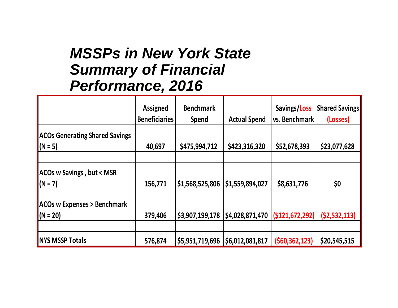#### *MSSPs in New York State Summary of Financial Performance, 2016*

|                                       | <b>Assigned</b><br><b>Beneficiaries</b> | <b>Benchmark</b><br><b>Spend</b> | <b>Actual Spend</b>               | Savings/Loss<br>vs. Benchmark | <b>Shared Savings</b><br>(Losses) |
|---------------------------------------|-----------------------------------------|----------------------------------|-----------------------------------|-------------------------------|-----------------------------------|
| <b>ACOs Generating Shared Savings</b> |                                         |                                  |                                   |                               |                                   |
| $(N = 5)$                             | 40,697                                  | \$475,994,712                    | \$423,316,320                     | \$52,678,393                  | \$23,077,628                      |
|                                       |                                         |                                  |                                   |                               |                                   |
| ACOs w Savings, but < MSR             |                                         |                                  |                                   |                               |                                   |
| $(N = 7)$                             | 156,771                                 | \$1,568,525,806                  | \$1,559,894,027                   | \$8,631,776                   | \$0                               |
|                                       |                                         |                                  |                                   |                               |                                   |
| <b>ACOs w Expenses &gt; Benchmark</b> |                                         |                                  |                                   |                               |                                   |
| $(N = 20)$                            | 379,406                                 | \$3,907,199,178                  | \$4,028,871,470                   | (S121, 672, 292)              | (52, 532, 113)                    |
|                                       |                                         |                                  |                                   |                               |                                   |
| <b>NYS MSSP Totals</b>                | 576,874                                 |                                  | \$5,951,719,696   \$6,012,081,817 | (560, 362, 123)               | \$20,545,515                      |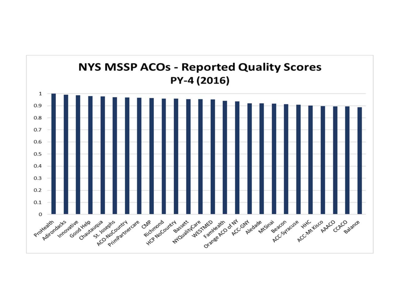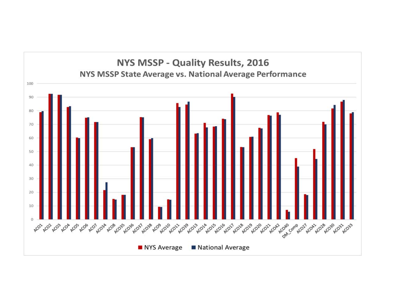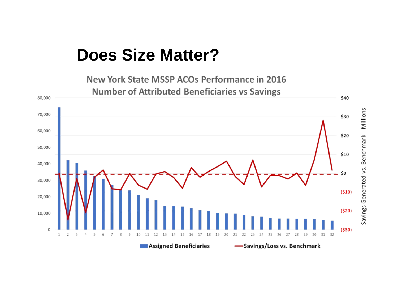## **Does Size Matter?**

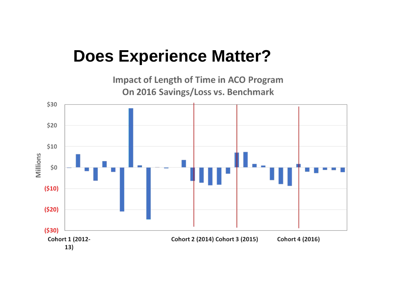## **Does Experience Matter?**

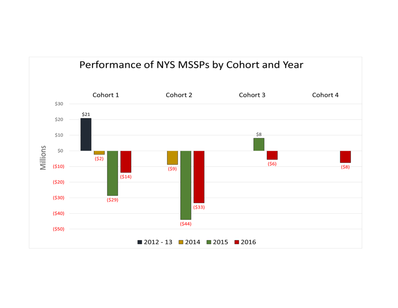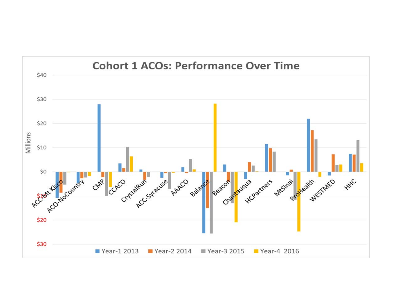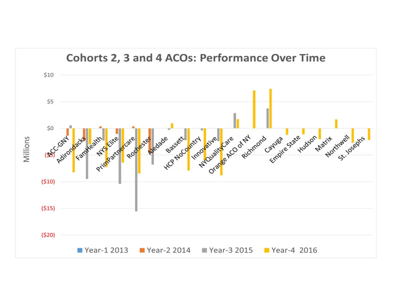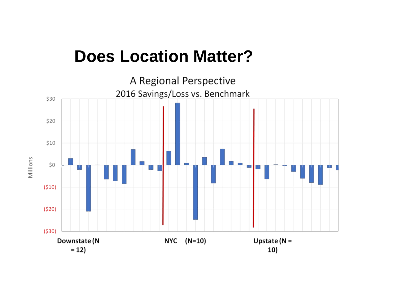## **Does Location Matter?**



Millions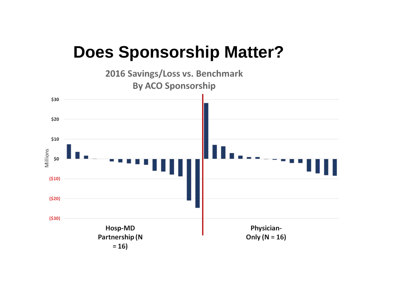## **Does Sponsorship Matter?**